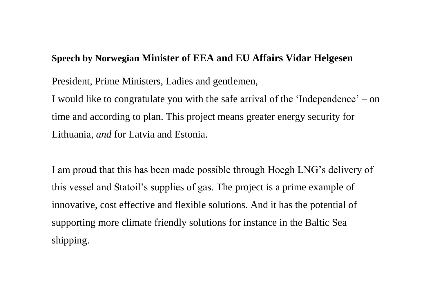## **Speech by Norwegian Minister of EEA and EU Affairs Vidar Helgesen**

President, Prime Ministers, Ladies and gentlemen,

I would like to congratulate you with the safe arrival of the 'Independence' – on time and according to plan. This project means greater energy security for Lithuania, *and* for Latvia and Estonia.

I am proud that this has been made possible through Hoegh LNG's delivery of this vessel and Statoil's supplies of gas. The project is a prime example of innovative, cost effective and flexible solutions. And it has the potential of supporting more climate friendly solutions for instance in the Baltic Sea shipping.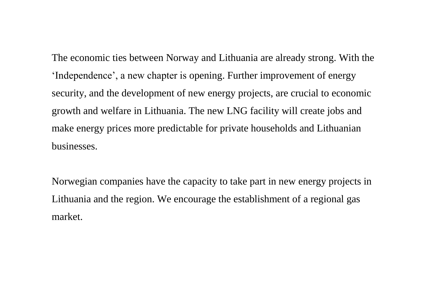The economic ties between Norway and Lithuania are already strong. With the 'Independence', a new chapter is opening. Further improvement of energy security, and the development of new energy projects, are crucial to economic growth and welfare in Lithuania. The new LNG facility will create jobs and make energy prices more predictable for private households and Lithuanian businesses.

Norwegian companies have the capacity to take part in new energy projects in Lithuania and the region. We encourage the establishment of a regional gas market.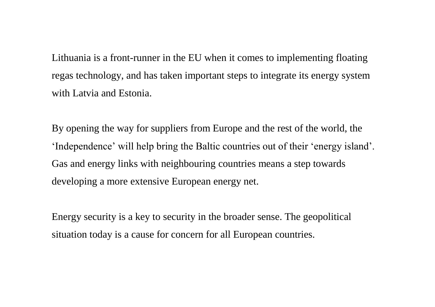Lithuania is a front-runner in the EU when it comes to implementing floating regas technology, and has taken important steps to integrate its energy system with Latvia and Estonia.

By opening the way for suppliers from Europe and the rest of the world, the 'Independence' will help bring the Baltic countries out of their 'energy island'. Gas and energy links with neighbouring countries means a step towards developing a more extensive European energy net.

Energy security is a key to security in the broader sense. The geopolitical situation today is a cause for concern for all European countries.